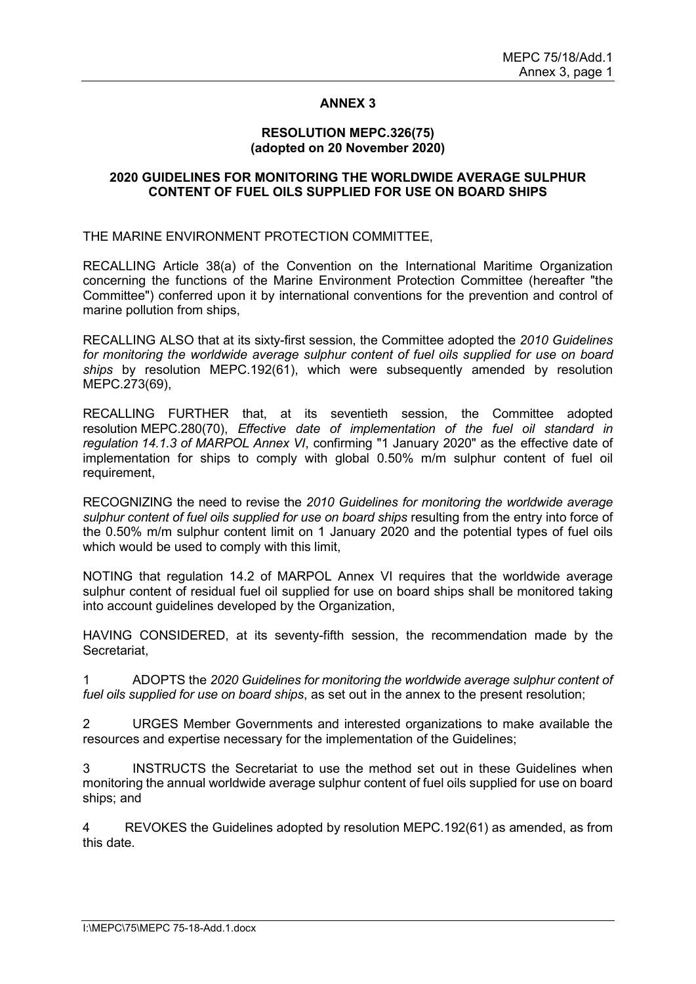## **ANNEX 3**

#### **RESOLUTION MEPC.326(75) (adopted on 20 November 2020)**

#### **2020 GUIDELINES FOR MONITORING THE WORLDWIDE AVERAGE SULPHUR CONTENT OF FUEL OILS SUPPLIED FOR USE ON BOARD SHIPS**

THE MARINE ENVIRONMENT PROTECTION COMMITTEE,

RECALLING Article 38(a) of the Convention on the International Maritime Organization concerning the functions of the Marine Environment Protection Committee (hereafter "the Committee") conferred upon it by international conventions for the prevention and control of marine pollution from ships,

RECALLING ALSO that at its sixty-first session, the Committee adopted the *2010 Guidelines for monitoring the worldwide average sulphur content of fuel oils supplied for use on board ships* by resolution MEPC.192(61), which were subsequently amended by resolution MEPC.273(69),

RECALLING FURTHER that, at its seventieth session, the Committee adopted resolution MEPC.280(70), *Effective date of implementation of the fuel oil standard in regulation 14.1.3 of MARPOL Annex VI*, confirming "1 January 2020" as the effective date of implementation for ships to comply with global 0.50% m/m sulphur content of fuel oil requirement,

RECOGNIZING the need to revise the *2010 Guidelines for monitoring the worldwide average sulphur content of fuel oils supplied for use on board ships* resulting from the entry into force of the 0.50% m/m sulphur content limit on 1 January 2020 and the potential types of fuel oils which would be used to comply with this limit.

NOTING that regulation 14.2 of MARPOL Annex VI requires that the worldwide average sulphur content of residual fuel oil supplied for use on board ships shall be monitored taking into account guidelines developed by the Organization,

HAVING CONSIDERED, at its seventy-fifth session, the recommendation made by the **Secretariat** 

1 ADOPTS the *2020 Guidelines for monitoring the worldwide average sulphur content of fuel oils supplied for use on board ships*, as set out in the annex to the present resolution;

2 URGES Member Governments and interested organizations to make available the resources and expertise necessary for the implementation of the Guidelines;

3 INSTRUCTS the Secretariat to use the method set out in these Guidelines when monitoring the annual worldwide average sulphur content of fuel oils supplied for use on board ships; and

4 REVOKES the Guidelines adopted by resolution MEPC.192(61) as amended, as from this date.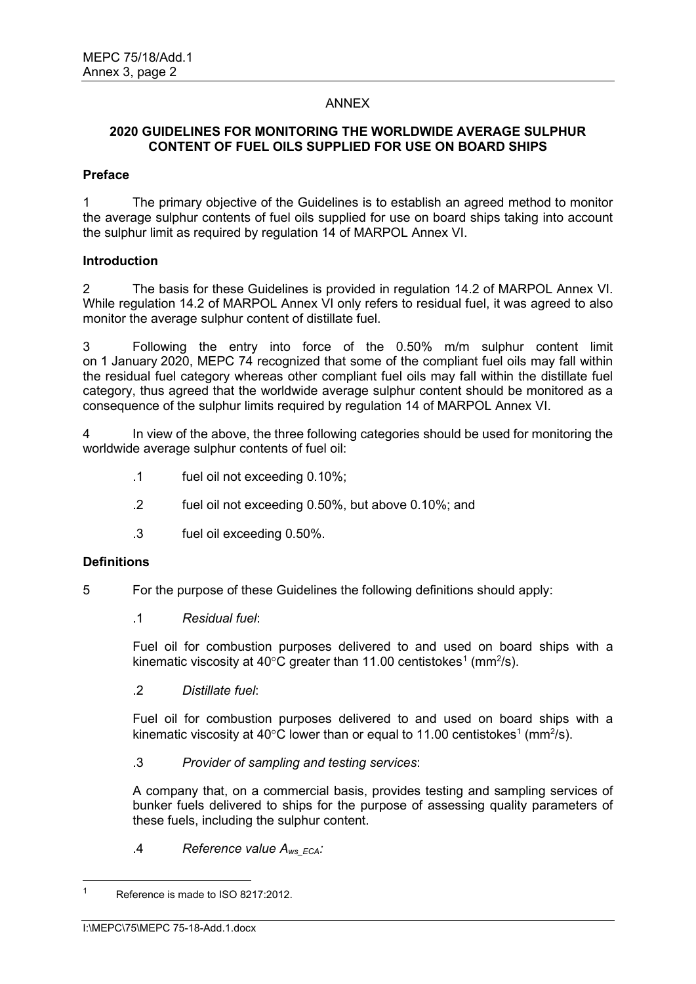## ANNEX

## **2020 GUIDELINES FOR MONITORING THE WORLDWIDE AVERAGE SULPHUR CONTENT OF FUEL OILS SUPPLIED FOR USE ON BOARD SHIPS**

#### **Preface**

1 The primary objective of the Guidelines is to establish an agreed method to monitor the average sulphur contents of fuel oils supplied for use on board ships taking into account the sulphur limit as required by regulation 14 of MARPOL Annex VI.

#### **Introduction**

2 The basis for these Guidelines is provided in regulation 14.2 of MARPOL Annex VI. While regulation 14.2 of MARPOL Annex VI only refers to residual fuel, it was agreed to also monitor the average sulphur content of distillate fuel.

3 Following the entry into force of the 0.50% m/m sulphur content limit on 1 January 2020, MEPC 74 recognized that some of the compliant fuel oils may fall within the residual fuel category whereas other compliant fuel oils may fall within the distillate fuel category, thus agreed that the worldwide average sulphur content should be monitored as a consequence of the sulphur limits required by regulation 14 of MARPOL Annex VI.

4 In view of the above, the three following categories should be used for monitoring the worldwide average sulphur contents of fuel oil:

- .1 fuel oil not exceeding 0.10%;
- .2 fuel oil not exceeding 0.50%, but above 0.10%; and
- .3 fuel oil exceeding 0.50%.

## **Definitions**

- 5 For the purpose of these Guidelines the following definitions should apply:
	- .1 *Residual fuel*:

Fuel oil for combustion purposes delivered to and used on board ships with a kinematic viscosity at 40°C greater than 11.00 centistokes $^1$  (mm $^2$ /s).

.2 *Distillate fuel*:

Fuel oil for combustion purposes delivered to and used on board ships with a kinematic viscosity at 40°C lower than or equal to 11.00 centistokes<sup>1</sup> (mm<sup>2</sup>/s).

.3 *Provider of sampling and testing services*:

A company that, on a commercial basis, provides testing and sampling services of bunker fuels delivered to ships for the purpose of assessing quality parameters of these fuels, including the sulphur content.

.4 *Reference value Aws\_ECA:*

<sup>1</sup> Reference is made to ISO 8217:2012.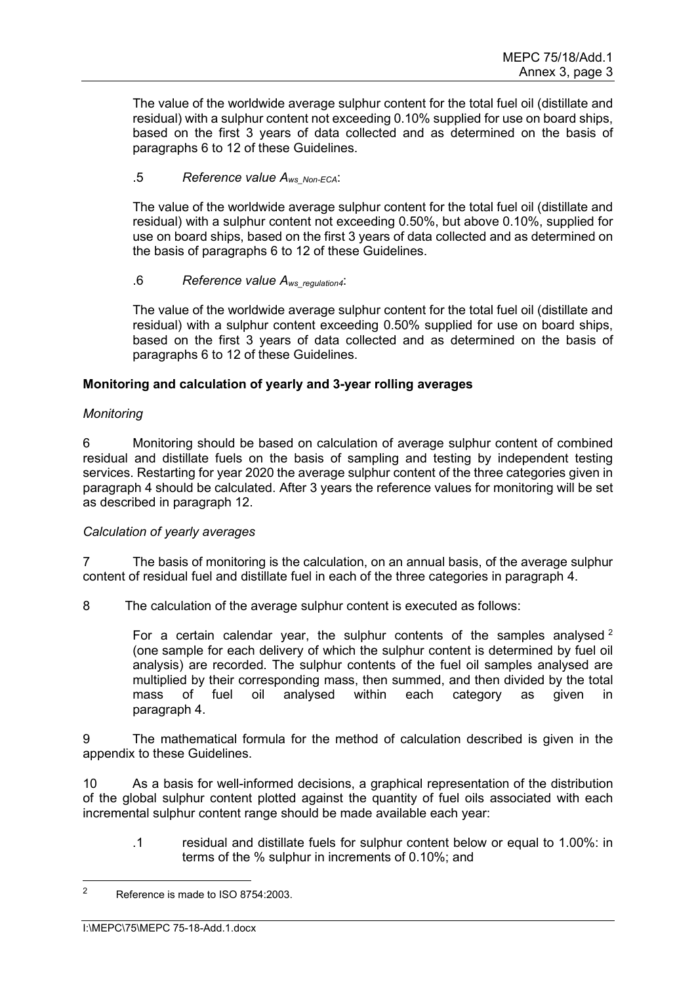The value of the worldwide average sulphur content for the total fuel oil (distillate and residual) with a sulphur content not exceeding 0.10% supplied for use on board ships, based on the first 3 years of data collected and as determined on the basis of paragraphs 6 to 12 of these Guidelines.

# .5 *Reference value Aws\_Non-ECA*:

The value of the worldwide average sulphur content for the total fuel oil (distillate and residual) with a sulphur content not exceeding 0.50%, but above 0.10%, supplied for use on board ships, based on the first 3 years of data collected and as determined on the basis of paragraphs 6 to 12 of these Guidelines.

## .6 *Reference value Aws\_regulation4*:

The value of the worldwide average sulphur content for the total fuel oil (distillate and residual) with a sulphur content exceeding 0.50% supplied for use on board ships, based on the first 3 years of data collected and as determined on the basis of paragraphs 6 to 12 of these Guidelines.

# **Monitoring and calculation of yearly and 3-year rolling averages**

# *Monitoring*

6 Monitoring should be based on calculation of average sulphur content of combined residual and distillate fuels on the basis of sampling and testing by independent testing services. Restarting for year 2020 the average sulphur content of the three categories given in paragraph 4 should be calculated. After 3 years the reference values for monitoring will be set as described in paragraph 12.

## *Calculation of yearly averages*

7 The basis of monitoring is the calculation, on an annual basis, of the average sulphur content of residual fuel and distillate fuel in each of the three categories in paragraph 4.

8 The calculation of the average sulphur content is executed as follows:

For a certain calendar year, the sulphur contents of the samples analysed  $2$ (one sample for each delivery of which the sulphur content is determined by fuel oil analysis) are recorded. The sulphur contents of the fuel oil samples analysed are multiplied by their corresponding mass, then summed, and then divided by the total mass of fuel oil analysed within each category as given in paragraph 4.

9 The mathematical formula for the method of calculation described is given in the appendix to these Guidelines.

10 As a basis for well-informed decisions, a graphical representation of the distribution of the global sulphur content plotted against the quantity of fuel oils associated with each incremental sulphur content range should be made available each year:

.1 residual and distillate fuels for sulphur content below or equal to 1.00%: in terms of the % sulphur in increments of 0.10%; and

<sup>2</sup> Reference is made to ISO 8754:2003.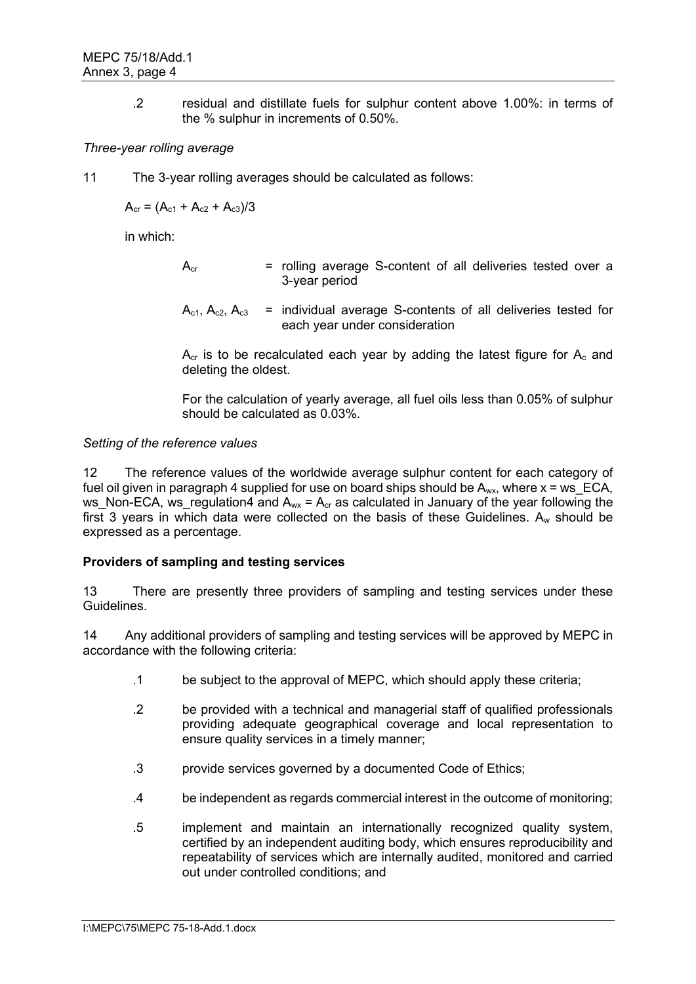.2 residual and distillate fuels for sulphur content above 1.00%: in terms of the % sulphur in increments of 0.50%.

## *Three-year rolling average*

11 The 3-year rolling averages should be calculated as follows:

 $A_{cr} = (A_{c1} + A_{c2} + A_{c3})/3$ 

in which:

- $A<sub>cr</sub>$  = rolling average S-content of all deliveries tested over a 3-year period
- $A_{c1}$ ,  $A_{c2}$ ,  $A_{c3}$  = individual average S-contents of all deliveries tested for each year under consideration

 $A<sub>cr</sub>$  is to be recalculated each year by adding the latest figure for  $A<sub>c</sub>$  and deleting the oldest.

For the calculation of yearly average, all fuel oils less than 0.05% of sulphur should be calculated as 0.03%.

## *Setting of the reference values*

12 The reference values of the worldwide average sulphur content for each category of fuel oil given in paragraph 4 supplied for use on board ships should be  $A_{wx}$ , where  $x = ws$  ECA, ws Non-ECA, ws regulation4 and  $A_{wx} = A_{cr}$  as calculated in January of the year following the first 3 years in which data were collected on the basis of these Guidelines.  $A_w$  should be expressed as a percentage.

## **Providers of sampling and testing services**

13 There are presently three providers of sampling and testing services under these Guidelines.

14 Any additional providers of sampling and testing services will be approved by MEPC in accordance with the following criteria:

- .1 be subject to the approval of MEPC, which should apply these criteria;
- .2 be provided with a technical and managerial staff of qualified professionals providing adequate geographical coverage and local representation to ensure quality services in a timely manner;
- .3 provide services governed by a documented Code of Ethics;
- .4 be independent as regards commercial interest in the outcome of monitoring;
- .5 implement and maintain an internationally recognized quality system, certified by an independent auditing body, which ensures reproducibility and repeatability of services which are internally audited, monitored and carried out under controlled conditions; and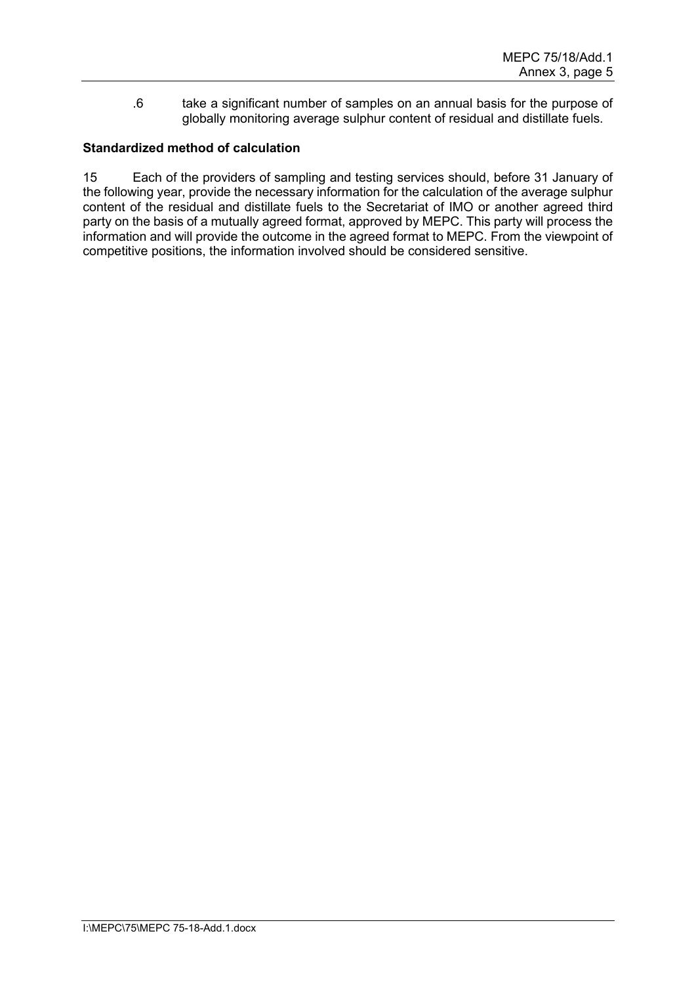.6 take a significant number of samples on an annual basis for the purpose of globally monitoring average sulphur content of residual and distillate fuels.

# **Standardized method of calculation**

15 Each of the providers of sampling and testing services should, before 31 January of the following year, provide the necessary information for the calculation of the average sulphur content of the residual and distillate fuels to the Secretariat of IMO or another agreed third party on the basis of a mutually agreed format, approved by MEPC. This party will process the information and will provide the outcome in the agreed format to MEPC. From the viewpoint of competitive positions, the information involved should be considered sensitive.